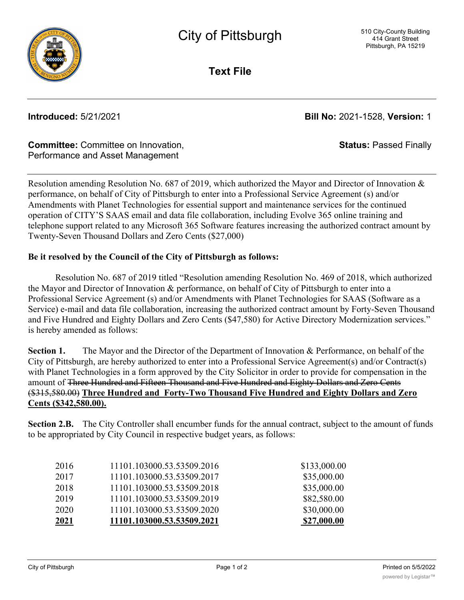

**Text File**

**Introduced:** 5/21/2021 **Bill No:** 2021-1528, **Version:** 1

**Status:** Passed Finally

## **Committee:** Committee on Innovation, Performance and Asset Management

Resolution amending Resolution No. 687 of 2019, which authorized the Mayor and Director of Innovation & performance, on behalf of City of Pittsburgh to enter into a Professional Service Agreement (s) and/or Amendments with Planet Technologies for essential support and maintenance services for the continued operation of CITY'S SAAS email and data file collaboration, including Evolve 365 online training and telephone support related to any Microsoft 365 Software features increasing the authorized contract amount by Twenty-Seven Thousand Dollars and Zero Cents (\$27,000)

## **Be it resolved by the Council of the City of Pittsburgh as follows:**

Resolution No. 687 of 2019 titled "Resolution amending Resolution No. 469 of 2018, which authorized the Mayor and Director of Innovation & performance, on behalf of City of Pittsburgh to enter into a Professional Service Agreement (s) and/or Amendments with Planet Technologies for SAAS (Software as a Service) e-mail and data file collaboration, increasing the authorized contract amount by Forty-Seven Thousand and Five Hundred and Eighty Dollars and Zero Cents (\$47,580) for Active Directory Modernization services." is hereby amended as follows:

**Section 1.** The Mayor and the Director of the Department of Innovation & Performance, on behalf of the City of Pittsburgh, are hereby authorized to enter into a Professional Service Agreement(s) and/or Contract(s) with Planet Technologies in a form approved by the City Solicitor in order to provide for compensation in the amount of Three Hundred and Fifteen Thousand and Five Hundred and Eighty Dollars and Zero Cents (\$315,580.00) **Three Hundred and Forty-Two Thousand Five Hundred and Eighty Dollars and Zero Cents (\$342,580.00).**

**Section 2.B.** The City Controller shall encumber funds for the annual contract, subject to the amount of funds to be appropriated by City Council in respective budget years, as follows:

| 2021 | 11101.103000.53.53509.2021 | \$27,000.00  |
|------|----------------------------|--------------|
| 2020 | 11101.103000.53.53509.2020 | \$30,000.00  |
| 2019 | 11101.103000.53.53509.2019 | \$82,580.00  |
| 2018 | 11101.103000.53.53509.2018 | \$35,000.00  |
| 2017 | 11101.103000.53.53509.2017 | \$35,000.00  |
| 2016 | 11101.103000.53.53509.2016 | \$133,000.00 |